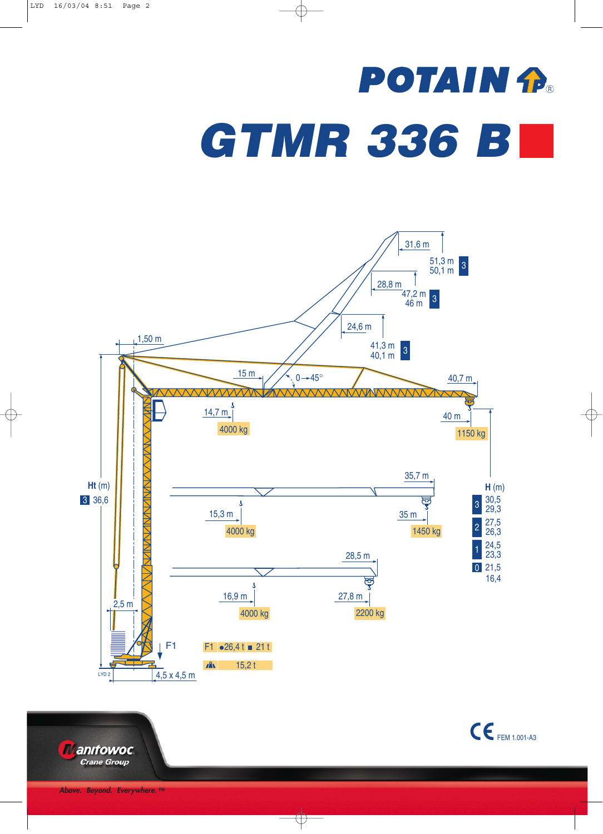## **POTAIN R** *GTMR 336 B*



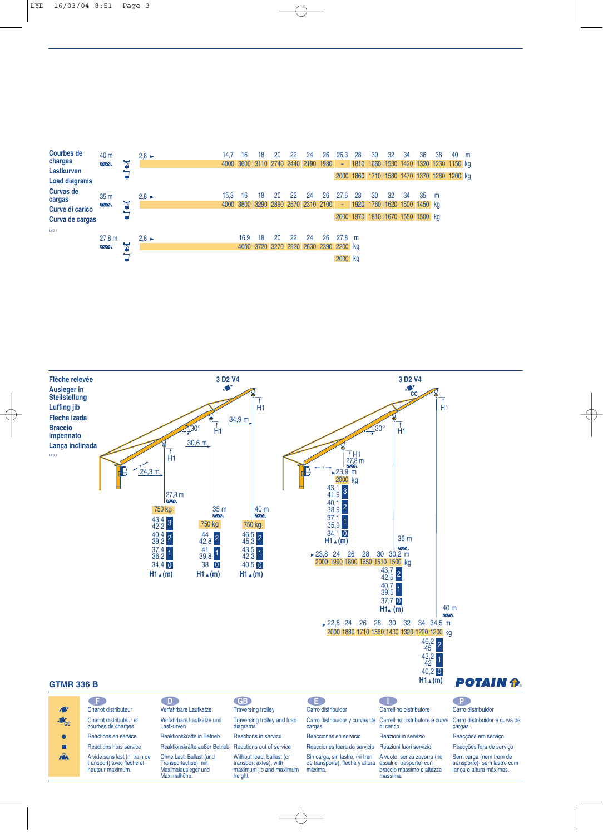



|                           |                                                                                | / D)                                                                                   | GB.                                                                                       | Æ.                                                                                                     |                                                                                                           |                                                                                  |
|---------------------------|--------------------------------------------------------------------------------|----------------------------------------------------------------------------------------|-------------------------------------------------------------------------------------------|--------------------------------------------------------------------------------------------------------|-----------------------------------------------------------------------------------------------------------|----------------------------------------------------------------------------------|
| $\mathbf{A}$              | Chariot distributeur                                                           | Verfahrbare Laufkatze                                                                  | <b>Traversing trolley</b>                                                                 | Carro distribuidor                                                                                     | Carrellino distributore                                                                                   | Carro distribuidor                                                               |
| $\triangle$ <sub>CC</sub> | Chariot distributeur et<br>courbes de charges                                  | Verfahrbare Laufkatze und<br>Lastkurven                                                | Traversing trolley and load<br>diagrams                                                   | cargas                                                                                                 | Carro distribuidor y curvas de Carrellino distributore e curve Carro distribuidor e curva de<br>di carico | cargas                                                                           |
|                           | Réactions en service                                                           | Reaktionskräfte in Betrieb                                                             | Reactions in service                                                                      | Reacciones en servicio                                                                                 | Reazioni in servizio                                                                                      | Reacções em serviço                                                              |
|                           | Réactions hors service                                                         | Reaktionskräfte außer Betrieb Reactions out of service                                 |                                                                                           | Reacciones fuera de servicio                                                                           | Reazioni fuori servizio                                                                                   | Reacções fora de serviço                                                         |
| $\mathbf{A}$              | A vide sans lest (ni train de<br>transport) avec flèche et<br>hauteur maximum. | Ohne Last, Ballast (und<br>Transportachse), mit<br>Maximalausleger und<br>Maximalhöhe. | Without load, ballast (or<br>transport axles), with<br>maximum jib and maximum<br>height. | Sin carga, sin lastre, (ni tren<br>de transporte), flecha y altura assali di trasporto) con<br>máxima. | A vuoto, senza zavorra (ne<br>braccio massimo e altezza<br>massima.                                       | Sem carga (nem trem de<br>transporte)- sem lastro com<br>lanca e altura máximas. |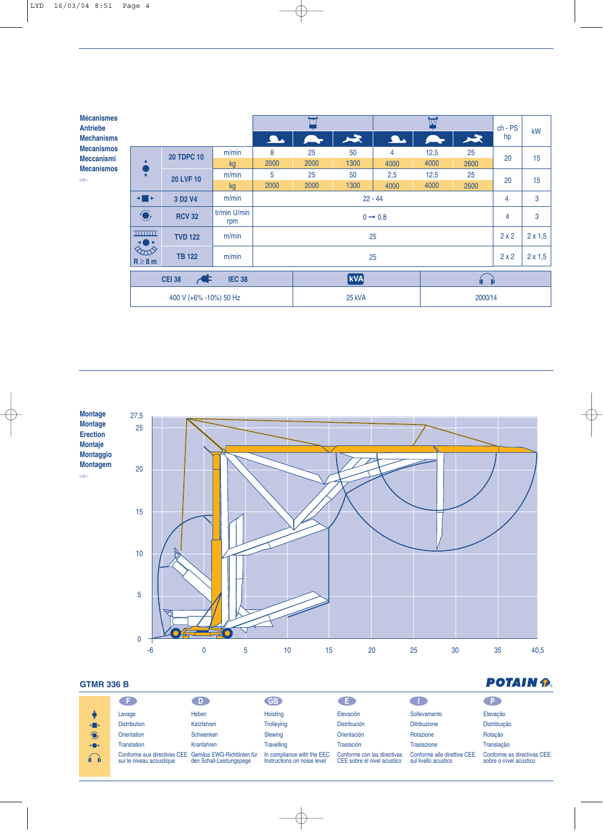| <b>Mécanismes</b><br><b>Antriebe</b>   |                                                                   |                                 |                     |                     |            |         | $\overline{\mathbf{w}}$ |      |      | $ch - PS$      | kW |
|----------------------------------------|-------------------------------------------------------------------|---------------------------------|---------------------|---------------------|------------|---------|-------------------------|------|------|----------------|----|
| <b>Mechanisms</b>                      |                                                                   |                                 |                     | $\mathbf{L}$        |            | $\star$ | $\Delta$                |      | 人    | hp             |    |
| <b>Mecanismos</b>                      | $\bullet$<br>$\overline{\mathbf{v}}$                              | <b>20 TDPC 10</b>               | m/min               | 8                   | 25         | 50      | 4                       | 12,5 | 25   | 20             | 15 |
| <b>Meccanismi</b><br><b>Mecanismos</b> |                                                                   |                                 | kg                  | 2000                | 2000       | 1300    | 4000                    | 4000 | 2600 |                |    |
| LYD <sub>1</sub>                       |                                                                   | <b>20 LVF 10</b>                | m/min               | 5                   | 25         | 50      | 2,5                     | 12,5 | 25   | 20             | 15 |
|                                        |                                                                   |                                 | kg                  | 2000                | 2000       | 1300    | 4000                    | 4000 | 2600 |                |    |
|                                        | $\blacksquare$                                                    | 3 D <sub>2</sub> V <sub>4</sub> | m/min               | $22 - 44$           |            |         |                         |      |      | 4              | 3  |
|                                        | $\bigodot$                                                        | <b>RCV 32</b>                   | tr/min U/min<br>rpm | $0 \rightarrow 0.8$ |            |         |                         |      | 4    | 3              |    |
|                                        | <b>THILLER</b><br>◂◙▸                                             | <b>TVD 122</b>                  | m/min               | 25                  |            |         |                         |      | 2x2  | $2 \times 1,5$ |    |
|                                        | $\Diamond \pi \Diamond$<br>m/min<br><b>TB 122</b><br>$R \geq 8$ m |                                 |                     | 25                  |            |         |                         |      | 2x2  | $2 \times 1,5$ |    |
|                                        | <b>IEC 38</b><br><b>CEI 38</b><br>$\blacktriangleleft$            |                                 |                     |                     | <b>kVA</b> |         |                         |      | íL.  |                |    |
|                                        | 400 V (+6% -10%) 50 Hz                                            |                                 |                     | 25 kVA              |            |         | 2000/14                 |      |      |                |    |



## **GTMR 336 B**

|                | - F 1                                                                              | D.                       | <b>GB</b>                                                 | . E.                                                       |                                                     |                                                      |  |  |  |
|----------------|------------------------------------------------------------------------------------|--------------------------|-----------------------------------------------------------|------------------------------------------------------------|-----------------------------------------------------|------------------------------------------------------|--|--|--|
|                | Levage                                                                             | Heben                    | Hoisting                                                  | Elevación                                                  | Sollevamento                                        | Elevação                                             |  |  |  |
| $\blacksquare$ | <b>Distribution</b>                                                                | Katzfahren               | <b>Trolleying</b>                                         | <b>Distribución</b>                                        | <b>Ditribuzione</b>                                 | Distribuição                                         |  |  |  |
| $\bigcirc$     | <b>Orientation</b>                                                                 | <b>Schwenken</b>         | Slewing                                                   | Orientación                                                | Rotazione                                           | Rotação                                              |  |  |  |
| <b>+0+</b>     | <b>Translation</b>                                                                 | Kranfahren               | <b>Travelling</b>                                         | Traslación                                                 | <b>Traslazione</b>                                  | Translacão                                           |  |  |  |
| <b>6 d</b>     | Conforme aux directives CEE Gemäss EWG-Richtlinien für<br>sur le niveau acoustique | den Schall-Leistungspege | In compliance with the EEC<br>Instructions on noise level | Conforme con las directivas<br>CEE sobre el nivel acustico | Conforme alle direttive CEE<br>sul livello acustico | Conforme as directivas CEE<br>sobre o nível acústico |  |  |  |
|                |                                                                                    |                          |                                                           |                                                            |                                                     |                                                      |  |  |  |

## **POTAIN for**